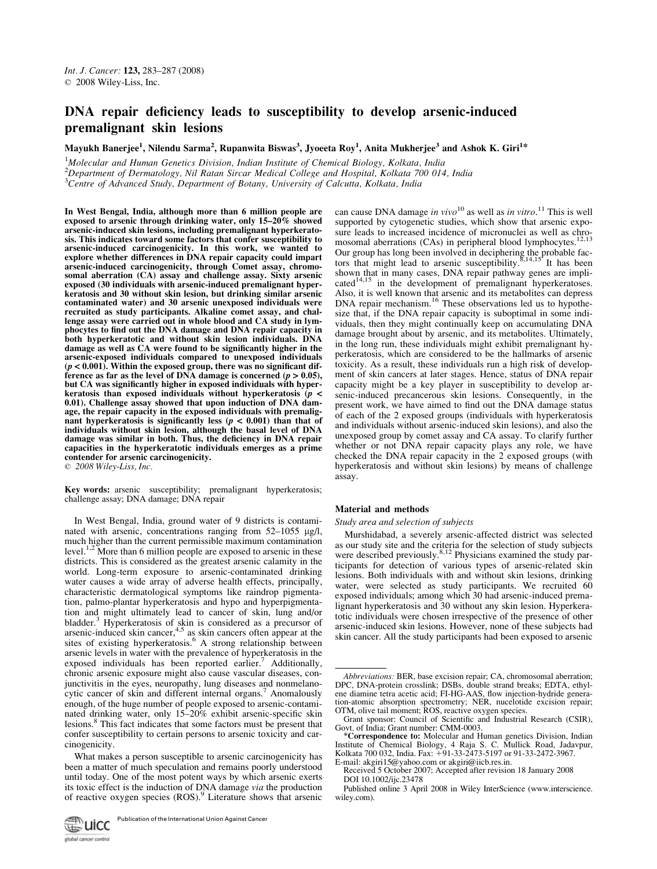# DNA repair deficiency leads to susceptibility to develop arsenic-induced premalignant skin lesions

Mayukh Banerjee<sup>1</sup>, Nilendu Sarma<sup>2</sup>, Rupanwita Biswas<sup>3</sup>, Jyoeeta Roy<sup>1</sup>, Anita Mukherjee<sup>3</sup> and Ashok K. Giri<sup>1\*</sup>

 $1$ Molecular and Human Genetics Division, Indian Institute of Chemical Biology, Kolkata, India  $2$ Department of Dermatology, Nil Ratan Sircar Medical College and Hospital, Kolkata 700 014, India  $3$ Centre of Advanced Study, Department of Botany, University of Calcutta, Kolkata, India

In West Bengal, India, although more than 6 million people are exposed to arsenic through drinking water, only 15–20% showed arsenic-induced skin lesions, including premalignant hyperkeratosis. This indicates toward some factors that confer susceptibility to arsenic-induced carcinogenicity. In this work, we wanted to explore whether differences in DNA repair capacity could impart arsenic-induced carcinogenicity, through Comet assay, chromosomal aberration (CA) assay and challenge assay. Sixty arsenic exposed (30 individuals with arsenic-induced premalignant hyperkeratosis and 30 without skin lesion, but drinking similar arsenic contaminated water) and 30 arsenic unexposed individuals were recruited as study participants. Alkaline comet assay, and challenge assay were carried out in whole blood and CA study in lymphocytes to find out the DNA damage and DNA repair capacity in both hyperkeratotic and without skin lesion individuals. DNA damage as well as CA were found to be significantly higher in the arsenic-exposed individuals compared to unexposed individuals  $(p < 0.001)$ . Within the exposed group, there was no significant difference as far as the level of DNA damage is concerned  $(p > 0.05)$ , but CA was significantly higher in exposed individuals with hyperkeratosis than exposed individuals without hyperkeratosis  $(p <$ 0.01). Challenge assay showed that upon induction of DNA damage, the repair capacity in the exposed individuals with premalignant hyperkeratosis is significantly less  $(p < 0.001)$  than that of individuals without skin lesion, although the basal level of DNA damage was similar in both. Thus, the deficiency in DNA repair capacities in the hyperkeratotic individuals emerges as a prime contender for arsenic carcinogenicity.  $\odot$  2008 Wiley-Liss, Inc.

Key words: arsenic susceptibility; premalignant hyperkeratosis; challenge assay; DNA damage; DNA repair

In West Bengal, India, ground water of 9 districts is contaminated with arsenic, concentrations ranging from  $52-1055$  µg/l, much higher than the current permissible maximum contamination level.<sup>1,2</sup> More than 6 million people are exposed to arsenic in these districts. This is considered as the greatest arsenic calamity in the world. Long-term exposure to arsenic-contaminated drinking water causes a wide array of adverse health effects, principally, characteristic dermatological symptoms like raindrop pigmentation, palmo-plantar hyperkeratosis and hypo and hyperpigmentation and might ultimately lead to cancer of skin, lung and/or bladder.<sup>3</sup> Hyperkeratosis of skin is considered as a precursor of arsenic-induced skin cancer,  $4.5$  as skin cancers often appear at the sites of existing hyperkeratosis.<sup>6</sup> A strong relationship between arsenic levels in water with the prevalence of hyperkeratosis in the exposed individuals has been reported earlier.<sup>7</sup> Additionally, chronic arsenic exposure might also cause vascular diseases, conjunctivitis in the eyes, neuropathy, lung diseases and nonmelanocytic cancer of skin and different internal organs.<sup>7</sup> Anomalously enough, of the huge number of people exposed to arsenic-contaminated drinking water, only 15–20% exhibit arsenic-specific skin lesions.<sup>8</sup> This fact indicates that some factors must be present that confer susceptibility to certain persons to arsenic toxicity and carcinogenicity.

What makes a person susceptible to arsenic carcinogenicity has been a matter of much speculation and remains poorly understood until today. One of the most potent ways by which arsenic exerts its toxic effect is the induction of DNA damage via the production of reactive oxygen species (ROS).<sup>9</sup> Literature shows that arsenic

can cause DNA damage in vivo<sup>10</sup> as well as in vitro.<sup>11</sup> This is well supported by cytogenetic studies, which show that arsenic exposure leads to increased incidence of micronuclei as well as chro-<br>mosomal aberrations (CAs) in peripheral blood lymphocytes.<sup>12,13</sup> Our group has long been involved in deciphering the probable factors that might lead to arsenic susceptibility.<sup>8,14,15</sup> It has been shown that in many cases, DNA repair pathway genes are impli-<br>cated<sup>14,15</sup> in the development of premalignant hyperkeratoses. Also, it is well known that arsenic and its metabolites can depress DNA repair mechanism.<sup>16</sup> These observations led us to hypothesize that, if the DNA repair capacity is suboptimal in some individuals, then they might continually keep on accumulating DNA damage brought about by arsenic, and its metabolites. Ultimately, in the long run, these individuals might exhibit premalignant hyperkeratosis, which are considered to be the hallmarks of arsenic toxicity. As a result, these individuals run a high risk of development of skin cancers at later stages. Hence, status of DNA repair capacity might be a key player in susceptibility to develop arsenic-induced precancerous skin lesions. Consequently, in the present work, we have aimed to find out the DNA damage status of each of the 2 exposed groups (individuals with hyperkeratosis and individuals without arsenic-induced skin lesions), and also the unexposed group by comet assay and CA assay. To clarify further whether or not DNA repair capacity plays any role, we have checked the DNA repair capacity in the 2 exposed groups (with hyperkeratosis and without skin lesions) by means of challenge assay.

# Material and methods

# Study area and selection of subjects

Murshidabad, a severely arsenic-affected district was selected as our study site and the criteria for the selection of study subjects were described previously.<sup>8,12</sup> Physicians examined the study participants for detection of various types of arsenic-related skin lesions. Both individuals with and without skin lesions, drinking water, were selected as study participants. We recruited 60 exposed individuals; among which 30 had arsenic-induced premalignant hyperkeratosis and 30 without any skin lesion. Hyperkeratotic individuals were chosen irrespective of the presence of other arsenic-induced skin lesions. However, none of these subjects had skin cancer. All the study participants had been exposed to arsenic

Abbreviations: BER, base excision repair; CA, chromosomal aberration; DPC, DNA-protein crosslink; DSBs, double strand breaks; EDTA, ethylene diamine tetra acetic acid; FI-HG-AAS, flow injection-hydride generation-atomic absorption spectrometry; NER, nucelotide excision repair; OTM, olive tail moment; ROS, reactive oxygen species.

Grant sponsor: Council of Scientific and Industrial Research (CSIR), Govt. of India; Grant number: CMM-0003.

<sup>\*</sup>Correspondence to: Molecular and Human genetics Division, Indian Institute of Chemical Biology, 4 Raja S. C. Mullick Road, Jadavpur, Kolkata 700 032, India. Fax: 191-33-2473-5197 or 91-33-2472-3967. E-mail: akgiri15@yahoo.com or akgiri@iicb.res.in.

Received 5 October 2007; Accepted after revision 18 January 2008 DOI 10.1002/ijc.23478

Published online 3 April 2008 in Wiley InterScience (www.interscience. wiley.com).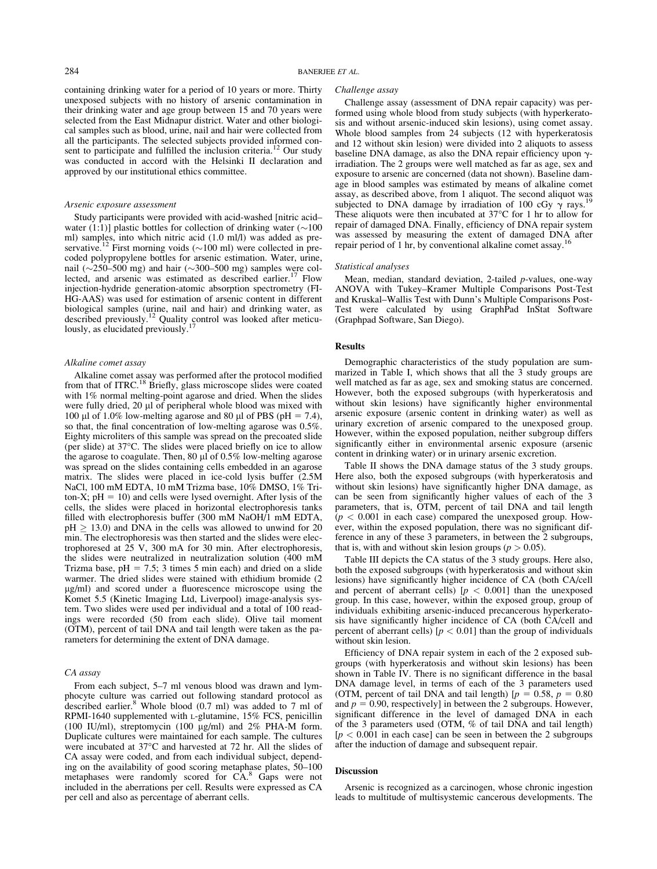containing drinking water for a period of 10 years or more. Thirty unexposed subjects with no history of arsenic contamination in their drinking water and age group between 15 and 70 years were selected from the East Midnapur district. Water and other biological samples such as blood, urine, nail and hair were collected from all the participants. The selected subjects provided informed consent to participate and fulfilled the inclusion criteria.<sup>12</sup> Our study was conducted in accord with the Helsinki II declaration and approved by our institutional ethics committee.

#### Arsenic exposure assessment

Study participants were provided with acid-washed [nitric acid– water (1:1)] plastic bottles for collection of drinking water  $(\sim 100$ ml) samples, into which nitric acid (1.0 ml/l) was added as preservative.<sup>12</sup> First morning voids ( $\sim$ 100 ml) were collected in precoded polypropylene bottles for arsenic estimation. Water, urine, nail ( $\sim$ 250–500 mg) and hair ( $\sim$ 300–500 mg) samples were collected, and arsenic was estimated as described earlier.<sup>17</sup> Flow injection-hydride generation-atomic absorption spectrometry (FI-HG-AAS) was used for estimation of arsenic content in different biological samples (urine, nail and hair) and drinking water, as described previously.<sup>12</sup> Quality control was looked after meticulously, as elucidated previously.<sup>17</sup>

## Alkaline comet assay

Alkaline comet assay was performed after the protocol modified from that of ITRC.<sup>18</sup> Briefly, glass microscope slides were coated with 1% normal melting-point agarose and dried. When the slides were fully dried, 20 µl of peripheral whole blood was mixed with 100 µl of 1.0% low-melting agarose and 80 µl of PBS ( $pH = 7.4$ ), so that, the final concentration of low-melting agarose was 0.5%. Eighty microliters of this sample was spread on the precoated slide (per slide) at 37°C. The slides were placed briefly on ice to allow the agarose to coagulate. Then,  $80 \mu$  of  $0.5\%$  low-melting agarose was spread on the slides containing cells embedded in an agarose matrix. The slides were placed in ice-cold lysis buffer (2.5M NaCl, 100 mM EDTA, 10 mM Trizma base, 10% DMSO, 1% Triton-X;  $pH = 10$ ) and cells were lysed overnight. After lysis of the cells, the slides were placed in horizontal electrophoresis tanks filled with electrophoresis buffer (300 mM NaOH/1 mM EDTA,  $pH \geq 13.0$ ) and DNA in the cells was allowed to unwind for 20 min. The electrophoresis was then started and the slides were electrophoresed at  $25$  V, 300 mA for 30 min. After electrophoresis, the slides were neutralized in neutralization solution (400 mM Trizma base,  $pH = 7.5$ ; 3 times 5 min each) and dried on a slide warmer. The dried slides were stained with ethidium bromide (2 lg/ml) and scored under a fluorescence microscope using the Komet 5.5 (Kinetic Imaging Ltd, Liverpool) image-analysis system. Two slides were used per individual and a total of 100 readings were recorded (50 from each slide). Olive tail moment (OTM), percent of tail DNA and tail length were taken as the parameters for determining the extent of DNA damage.

#### CA assay

From each subject, 5–7 ml venous blood was drawn and lymphocyte culture was carried out following standard protocol as described earlier.<sup>8</sup> Whole blood (0.7 ml) was added to 7 ml of RPMI-1640 supplemented with <sup>L</sup>-glutamine, 15% FCS, penicillin (100 IU/ml), streptomycin (100  $\mu$ g/ml) and 2% PHA-M form. Duplicate cultures were maintained for each sample. The cultures were incubated at 37°C and harvested at 72 hr. All the slides of CA assay were coded, and from each individual subject, depending on the availability of good scoring metaphase plates, 50–100 metaphases were randomly scored for CA.<sup>8</sup> Gaps were not included in the aberrations per cell. Results were expressed as CA per cell and also as percentage of aberrant cells.

#### Challenge assay

Challenge assay (assessment of DNA repair capacity) was performed using whole blood from study subjects (with hyperkeratosis and without arsenic-induced skin lesions), using comet assay. Whole blood samples from 24 subjects (12 with hyperkeratosis and 12 without skin lesion) were divided into 2 aliquots to assess baseline DNA damage, as also the DNA repair efficiency upon  $\gamma$ irradiation. The 2 groups were well matched as far as age, sex and exposure to arsenic are concerned (data not shown). Baseline damage in blood samples was estimated by means of alkaline comet assay, as described above, from 1 aliquot. The second aliquot was subjected to DNA damage by irradiation of 100 cGy  $\gamma$  rays.<sup>19</sup> These aliquots were then incubated at  $37^{\circ}$ C for 1 hr to allow for repair of damaged DNA. Finally, efficiency of DNA repair system was assessed by measuring the extent of damaged DNA after repair period of 1 hr, by conventional alkaline comet assay.

# Statistical analyses

Mean, median, standard deviation, 2-tailed  $p$ -values, one-way ANOVA with Tukey–Kramer Multiple Comparisons Post-Test and Kruskal–Wallis Test with Dunn's Multiple Comparisons Post-Test were calculated by using GraphPad InStat Software (Graphpad Software, San Diego).

# Results

Demographic characteristics of the study population are summarized in Table I, which shows that all the 3 study groups are well matched as far as age, sex and smoking status are concerned. However, both the exposed subgroups (with hyperkeratosis and without skin lesions) have significantly higher environmental arsenic exposure (arsenic content in drinking water) as well as urinary excretion of arsenic compared to the unexposed group. However, within the exposed population, neither subgroup differs significantly either in environmental arsenic exposure (arsenic content in drinking water) or in urinary arsenic excretion.

Table II shows the DNA damage status of the 3 study groups. Here also, both the exposed subgroups (with hyperkeratosis and without skin lesions) have significantly higher DNA damage, as can be seen from significantly higher values of each of the 3 parameters, that is, OTM, percent of tail DNA and tail length  $(p < 0.001$  in each case) compared the unexposed group. However, within the exposed population, there was no significant difference in any of these 3 parameters, in between the 2 subgroups, that is, with and without skin lesion groups ( $p > 0.05$ ).

Table III depicts the CA status of the 3 study groups. Here also, both the exposed subgroups (with hyperkeratosis and without skin lesions) have significantly higher incidence of CA (both CA/cell and percent of aberrant cells)  $[p < 0.001]$  than the unexposed group. In this case, however, within the exposed group, group of individuals exhibiting arsenic-induced precancerous hyperkeratosis have significantly higher incidence of CA (both CA/cell and percent of aberrant cells)  $[p < 0.01]$  than the group of individuals without skin lesion.

Efficiency of DNA repair system in each of the 2 exposed subgroups (with hyperkeratosis and without skin lesions) has been shown in Table IV. There is no significant difference in the basal DNA damage level, in terms of each of the 3 parameters used (OTM, percent of tail DNA and tail length)  $[p = 0.58, p = 0.80]$ and  $p = 0.90$ , respectively] in between the 2 subgroups. However, significant difference in the level of damaged DNA in each of the 3 parameters used (OTM, % of tail DNA and tail length)  $[p < 0.001]$  in each case can be seen in between the 2 subgroups after the induction of damage and subsequent repair.

### **Discussion**

Arsenic is recognized as a carcinogen, whose chronic ingestion leads to multitude of multisystemic cancerous developments. The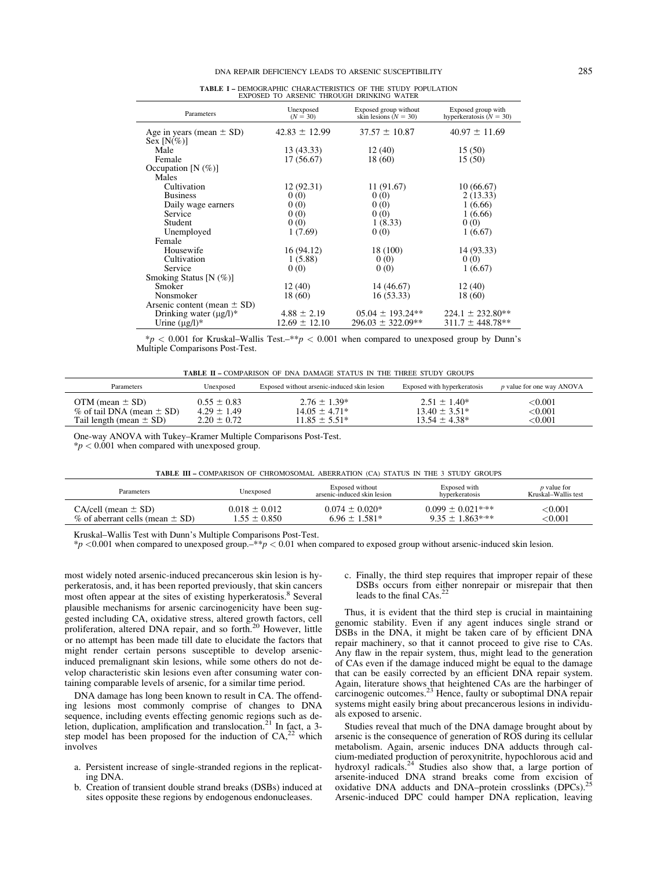| EXPOSED TO ARSENIC THROUGH DRINKING WATER     |                         |                                                  |                                                 |  |  |
|-----------------------------------------------|-------------------------|--------------------------------------------------|-------------------------------------------------|--|--|
| Parameters                                    | Unexposed<br>$(N = 30)$ | Exposed group without<br>skin lesions $(N = 30)$ | Exposed group with<br>hyperkeratosis $(N = 30)$ |  |  |
| Age in years (mean $\pm$ SD)<br>Sex $[N(\%)]$ | $42.83 \pm 12.99$       | $37.57 \pm 10.87$                                | $40.97 \pm 11.69$                               |  |  |
| Male                                          | 13 (43.33)              | 12 (40)                                          | 15(50)                                          |  |  |
| Female                                        | 17(56.67)               | 18 (60)                                          | 15(50)                                          |  |  |
| Occupation $[N(\%)]$                          |                         |                                                  |                                                 |  |  |
| Males                                         |                         |                                                  |                                                 |  |  |
| Cultivation                                   | 12 (92.31)              | 11 (91.67)                                       | 10(66.67)                                       |  |  |
| <b>Business</b>                               | 0(0)                    | 0(0)                                             | 2(13.33)                                        |  |  |
| Daily wage earners                            | 0(0)                    | 0(0)                                             | 1(6.66)                                         |  |  |
| Service                                       | 0(0)                    | 0(0)                                             | 1(6.66)                                         |  |  |
| Student                                       | 0(0)                    | 1(8.33)                                          | 0(0)                                            |  |  |
| Unemployed                                    | 1(7.69)                 | 0(0)                                             | 1(6.67)                                         |  |  |
| Female                                        |                         |                                                  |                                                 |  |  |
| Housewife                                     | 16 (94.12)              | 18 (100)                                         | 14 (93.33)                                      |  |  |
| Cultivation                                   | 1(5.88)                 | 0(0)                                             | 0(0)                                            |  |  |
| Service                                       | 0(0)                    | 0(0)                                             | 1(6.67)                                         |  |  |
| Smoking Status [N $(\%)$ ]                    |                         |                                                  |                                                 |  |  |
| Smoker                                        | 12(40)                  | 14 (46.67)                                       | 12(40)                                          |  |  |
| Nonsmoker                                     | 18 (60)                 | 16(53.33)                                        | 18 (60)                                         |  |  |
| Arsenic content (mean $\pm$ SD)               |                         |                                                  |                                                 |  |  |
| Drinking water $(\mu g/l)^*$                  | $4.88 \pm 2.19$         | $05.04 \pm 193.24**$                             | $224.1 \pm 232.80**$                            |  |  |
| Urine $(\mu g/l)^*$                           | $12.69 \pm 12.10$       | $296.03 \pm 322.09**$                            | $311.7 \pm 448.78**$                            |  |  |

TABLE I – DEMOGRAPHIC CHARACTERISTICS OF THE STUDY POPULATION

| $\frac{k}{p}$ < 0.001 for Kruskal–Wallis Test.–**p < 0.001 when compared to unexposed group by Dunn's |  |  |  |
|-------------------------------------------------------------------------------------------------------|--|--|--|
| Multiple Comparisons Post-Test.                                                                       |  |  |  |

TABLE II – COMPARISON OF DNA DAMAGE STATUS IN THE THREE STUDY GROUPS

| <b>Parameters</b>                | Unexposed       | Exposed without arsenic-induced skin lesion | Exposed with hyperkeratosis | p value for one way ANOVA |
|----------------------------------|-----------------|---------------------------------------------|-----------------------------|---------------------------|
| OTM (mean $\pm$ SD)              | $0.55 \pm 0.83$ | $2.76 \pm 1.39*$                            | $2.51 + 1.40*$              | $<\!\!0.001$              |
| $\%$ of tail DNA (mean $\pm$ SD) | $4.29 \pm 1.49$ | $14.05 + 4.71*$                             | $13.40 \pm 3.51*$           | ${<}0.001$                |
| Tail length (mean $\pm$ SD)      | $2.20 \pm 0.72$ | $11.85 \pm 5.51*$                           | $13.54 \pm 4.38*$           | $<\!\!0.001$              |

One-way ANOVA with Tukey–Kramer Multiple Comparisons Post-Test.

 $*p < 0.001$  when compared with unexposed group.

| TABLE III - COMPARISON OF CHROMOSOMAL ABERRATION (CA) STATUS IN THE 3 STUDY GROUPS |                   |                             |                       |                     |
|------------------------------------------------------------------------------------|-------------------|-----------------------------|-----------------------|---------------------|
| Unexposed                                                                          |                   | Exposed without             | Exposed with          | p value for         |
| Parameters                                                                         |                   | arsenic-induced skin lesion | hyperkeratosis        | Kruskal–Wallis test |
| $CA/cell (mean \pm SD)$                                                            | $0.018 \pm 0.012$ | $0.074 \pm 0.020$ *         | $0.099 \pm 0.021$ *** | $<\!\!0.001$        |
| $\%$ of aberrant cells (mean $\pm$ SD)                                             | $1.55 \pm 0.850$  | $6.96 \pm 1.581*$           | $9.35 \pm 1.863***$   | $<\!\!0.001$        |

Kruskal–Wallis Test with Dunn's Multiple Comparisons Post-Test.

 $\gamma$  <0.001 when compared to unexposed group.  $\gamma$  ×  $p$  < 0.01 when compared to exposed group without arsenic-induced skin lesion.

most widely noted arsenic-induced precancerous skin lesion is hyperkeratosis, and, it has been reported previously, that skin cancers most often appear at the sites of existing hyperkeratosis.<sup>8</sup> Several plausible mechanisms for arsenic carcinogenicity have been suggested including CA, oxidative stress, altered growth factors, cell proliferation, altered DNA repair, and so forth.<sup>20</sup> However, little or no attempt has been made till date to elucidate the factors that might render certain persons susceptible to develop arsenicinduced premalignant skin lesions, while some others do not develop characteristic skin lesions even after consuming water containing comparable levels of arsenic, for a similar time period.

DNA damage has long been known to result in CA. The offending lesions most commonly comprise of changes to DNA sequence, including events effecting genomic regions such as de-<br>letion, duplication, amplification and translocation.<sup>21</sup> In fact, a 3step model has been proposed for the induction of  $CA<sub>1</sub><sup>22</sup>$  which involves

- a. Persistent increase of single-stranded regions in the replicating DNA.
- b. Creation of transient double strand breaks (DSBs) induced at sites opposite these regions by endogenous endonucleases.

c. Finally, the third step requires that improper repair of these DSBs occurs from either nonrepair or misrepair that then leads to the final CAs.<sup>22</sup>

Thus, it is evident that the third step is crucial in maintaining genomic stability. Even if any agent induces single strand or DSBs in the DNA, it might be taken care of by efficient DNA repair machinery, so that it cannot proceed to give rise to CAs. Any flaw in the repair system, thus, might lead to the generation of CAs even if the damage induced might be equal to the damage that can be easily corrected by an efficient DNA repair system. Again, literature shows that heightened CAs are the harbinger of carcinogenic outcomes.<sup>23</sup> Hence, faulty or suboptimal DNA repair systems might easily bring about precancerous lesions in individuals exposed to arsenic.

Studies reveal that much of the DNA damage brought about by arsenic is the consequence of generation of ROS during its cellular metabolism. Again, arsenic induces DNA adducts through calcium-mediated production of peroxynitrite, hypochlorous acid and hydroxyl radicals.<sup>24</sup> Studies also show that, a large portion of arsenite-induced DNA strand breaks come from excision of oxidative DNA adducts and DNA–protein crosslinks (DPCs).<sup>25</sup> Arsenic-induced DPC could hamper DNA replication, leaving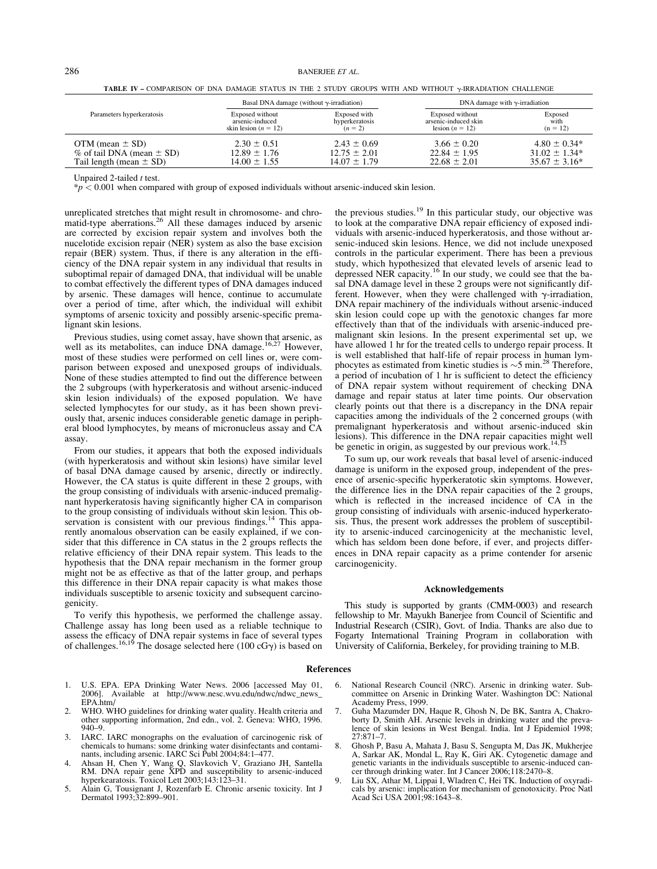TABLE IV – COMPARISON OF DNA DAMAGE STATUS IN THE 2 STUDY GROUPS WITH AND WITHOUT  $\gamma$ -IRRADIATION CHALLENGE

|                                 | Basal DNA damage (without $\gamma$ -irradiation) |                  | DNA damage with $\gamma$ -irradiation |                    |  |
|---------------------------------|--------------------------------------------------|------------------|---------------------------------------|--------------------|--|
| Parameters hyperkeratosis       | Exposed without                                  | Exposed with     | Exposed without                       | Exposed            |  |
|                                 | arsenic-induced                                  | hyperkeratosis   | arsenic-induced skin                  | with               |  |
|                                 | skin lesion ( $n = 12$ )                         | $(n = 2)$        | lesion $(n = 12)$                     | $(n = 12)$         |  |
| OTM (mean $\pm$ SD)             | $2.30 \pm 0.51$                                  | $2.43 \pm 0.69$  | $3.66 \pm 0.20$                       | $4.80 \pm 0.34*$   |  |
| $%$ of tail DNA (mean $\pm$ SD) | $12.89 \pm 1.76$                                 | $12.75 \pm 2.01$ | $22.84 \pm 1.95$                      | $31.02 \pm 1.34*$  |  |
| Tail length (mean $\pm$ SD)     | $14.00 \pm 1.55$                                 | $14.07 \pm 1.79$ | $22.68 \pm 2.01$                      | $35.67 \pm 3.16^*$ |  |

Unpaired 2-tailed  $t$  test.

 $\gamma_p$  < 0.001 when compared with group of exposed individuals without arsenic-induced skin lesion.

unreplicated stretches that might result in chromosome- and chromatid-type aberrations.<sup>26</sup> All these damages induced by arsenic are corrected by excision repair system and involves both the nucelotide excision repair (NER) system as also the base excision repair (BER) system. Thus, if there is any alteration in the efficiency of the DNA repair system in any individual that results in suboptimal repair of damaged DNA, that individual will be unable to combat effectively the different types of DNA damages induced by arsenic. These damages will hence, continue to accumulate over a period of time, after which, the individual will exhibit symptoms of arsenic toxicity and possibly arsenic-specific premalignant skin lesions.

Previous studies, using comet assay, have shown that arsenic, as well as its metabolites, can induce DNA damage.<sup>16,27</sup> However, most of these studies were performed on cell lines or, were comparison between exposed and unexposed groups of individuals. None of these studies attempted to find out the difference between the 2 subgroups (with hyperkeratosis and without arsenic-induced skin lesion individuals) of the exposed population. We have selected lymphocytes for our study, as it has been shown previously that, arsenic induces considerable genetic damage in peripheral blood lymphocytes, by means of micronucleus assay and CA assay.

From our studies, it appears that both the exposed individuals (with hyperkeratosis and without skin lesions) have similar level of basal DNA damage caused by arsenic, directly or indirectly. However, the CA status is quite different in these 2 groups, with the group consisting of individuals with arsenic-induced premalignant hyperkeratosis having significantly higher CA in comparison to the group consisting of individuals without skin lesion. This observation is consistent with our previous findings.<sup>14</sup> This apparently anomalous observation can be easily explained, if we consider that this difference in CA status in the 2 groups reflects the relative efficiency of their DNA repair system. This leads to the hypothesis that the DNA repair mechanism in the former group might not be as effective as that of the latter group, and perhaps this difference in their DNA repair capacity is what makes those individuals susceptible to arsenic toxicity and subsequent carcinogenicity.

To verify this hypothesis, we performed the challenge assay. Challenge assay has long been used as a reliable technique to assess the efficacy of DNA repair systems in face of several types of challenges.<sup>16,19</sup> The dosage selected here (100 cG $\gamma$ ) is based on

the previous studies.<sup>19</sup> In this particular study, our objective was to look at the comparative DNA repair efficiency of exposed individuals with arsenic-induced hyperkeratosis, and those without arsenic-induced skin lesions. Hence, we did not include unexposed controls in the particular experiment. There has been a previous study, which hypothesized that elevated levels of arsenic lead to depressed NER capacity.<sup>16</sup> In our study, we could see that the basal DNA damage level in these 2 groups were not significantly different. However, when they were challenged with  $\gamma$ -irradiation, DNA repair machinery of the individuals without arsenic-induced skin lesion could cope up with the genotoxic changes far more effectively than that of the individuals with arsenic-induced premalignant skin lesions. In the present experimental set up, we have allowed 1 hr for the treated cells to undergo repair process. It is well established that half-life of repair process in human lymphocytes as estimated from kinetic studies is  $\sim$  5 min.<sup>28</sup> Therefore, a period of incubation of 1 hr is sufficient to detect the efficiency of DNA repair system without requirement of checking DNA damage and repair status at later time points. Our observation clearly points out that there is a discrepancy in the DNA repair capacities among the individuals of the 2 concerned groups (with premalignant hyperkeratosis and without arsenic-induced skin lesions). This difference in the DNA repair capacities might well be genetic in origin, as suggested by our previous work.<sup>14,1</sup>

To sum up, our work reveals that basal level of arsenic-induced damage is uniform in the exposed group, independent of the presence of arsenic-specific hyperkeratotic skin symptoms. However, the difference lies in the DNA repair capacities of the 2 groups, which is reflected in the increased incidence of CA in the group consisting of individuals with arsenic-induced hyperkeratosis. Thus, the present work addresses the problem of susceptibility to arsenic-induced carcinogenicity at the mechanistic level, which has seldom been done before, if ever, and projects differences in DNA repair capacity as a prime contender for arsenic carcinogenicity.

#### Acknowledgements

This study is supported by grants (CMM-0003) and research fellowship to Mr. Mayukh Banerjee from Council of Scientific and Industrial Research (CSIR), Govt. of India. Thanks are also due to Fogarty International Training Program in collaboration with University of California, Berkeley, for providing training to M.B.

#### References

- 1. U.S. EPA. EPA Drinking Water News. 2006 [accessed May 01, 2006]. Available at http://www.nesc.wvu.edu/ndwc/ndwc\_news\_ EPA.htm/
- 2. WHO. WHO guidelines for drinking water quality. Health criteria and other supporting information, 2nd edn., vol. 2. Geneva: WHO, 1996. 940–9.
- 3. IARC. IARC monographs on the evaluation of carcinogenic risk of chemicals to humans: some drinking water disinfectants and contaminants, including arsenic. IARC Sci Publ 2004;84:1–477.
- 4. Ahsan H, Chen Y, Wang Q, Slavkovich V, Graziano JH, Santella RM. DNA repair gene XPD and susceptibility to arsenic-induced hyperkearatosis. Toxicol Lett 2003;143:123–31.
- 5. Alain G, Tousignant J, Rozenfarb E. Chronic arsenic toxicity. Int J Dermatol 1993;32:899–901.
- 6. National Research Council (NRC). Arsenic in drinking water. Subcommittee on Arsenic in Drinking Water. Washington DC: National Academy Press, 1999.
- 7. Guha Mazumder DN, Haque R, Ghosh N, De BK, Santra A, Chakroborty D, Smith AH. Arsenic levels in drinking water and the prevalence of skin lesions in West Bengal. India. Int J Epidemiol 1998;  $27.871 - 7$
- 8. Ghosh P, Basu A, Mahata J, Basu S, Sengupta M, Das JK, Mukherjee A, Sarkar AK, Mondal L, Ray K, Giri AK. Cytogenetic damage and genetic variants in the individuals susceptible to arsenic-induced cancer through drinking water. Int J Cancer 2006;118:2470–8.
- 9. Liu SX, Athar M, Lippai I, Wladren C, Hei TK. Induction of oxyradicals by arsenic: implication for mechanism of genotoxicity. Proc Natl Acad Sci USA 2001;98:1643–8.